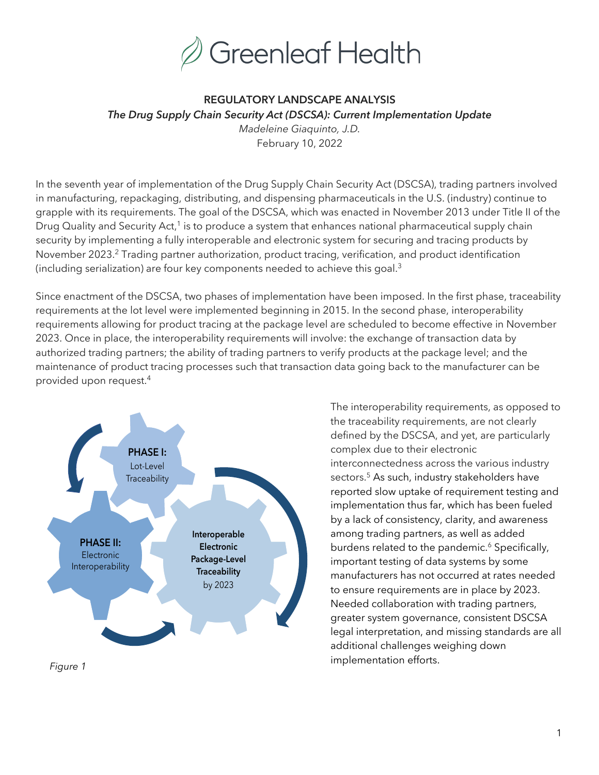

# **REGULATORY LANDSCAPE ANALYSIS** *The Drug Supply Chain Security Act (DSCSA): Current Implementation Update*

*Madeleine Giaquinto, J.D.* February 10, 2022

In the seventh year of implementation of the Drug Supply Chain Security Act (DSCSA), trading partners involved in manufacturing, repackaging, distributing, and dispensing pharmaceuticals in the U.S. (industry) continue to grapple with its requirements. The goal of the DSCSA, which was enacted in November 2013 under Title II of the Drug Quality and Security Act,<sup>1</sup> is to produce a system that enhances national pharmaceutical supply chain security by implementing a fully interoperable and electronic system for securing and tracing products by November 2023.<sup>2</sup> Trading partner authorization, product tracing, verification, and product identification (including serialization) are four key components needed to achieve this goal.3

Since enactment of the DSCSA, two phases of implementation have been imposed. In the first phase, traceability requirements at the lot level were implemented beginning in 2015. In the second phase, interoperability requirements allowing for product tracing at the package level are scheduled to become effective in November 2023. Once in place, the interoperability requirements will involve: the exchange of transaction data by authorized trading partners; the ability of trading partners to verify products at the package level; and the maintenance of product tracing processes such that transaction data going back to the manufacturer can be provided upon request.4



The interoperability requirements, as opposed to the traceability requirements, are not clearly defined by the DSCSA, and yet, are particularly complex due to their electronic interconnectedness across the various industry sectors.<sup>5</sup> As such, industry stakeholders have reported slow uptake of requirement testing and implementation thus far, which has been fueled by a lack of consistency, clarity, and awareness among trading partners, as well as added burdens related to the pandemic.<sup>6</sup> Specifically, important testing of data systems by some manufacturers has not occurred at rates needed to ensure requirements are in place by 2023. Needed collaboration with trading partners, greater system governance, consistent DSCSA legal interpretation, and missing standards are all additional challenges weighing down implementation efforts.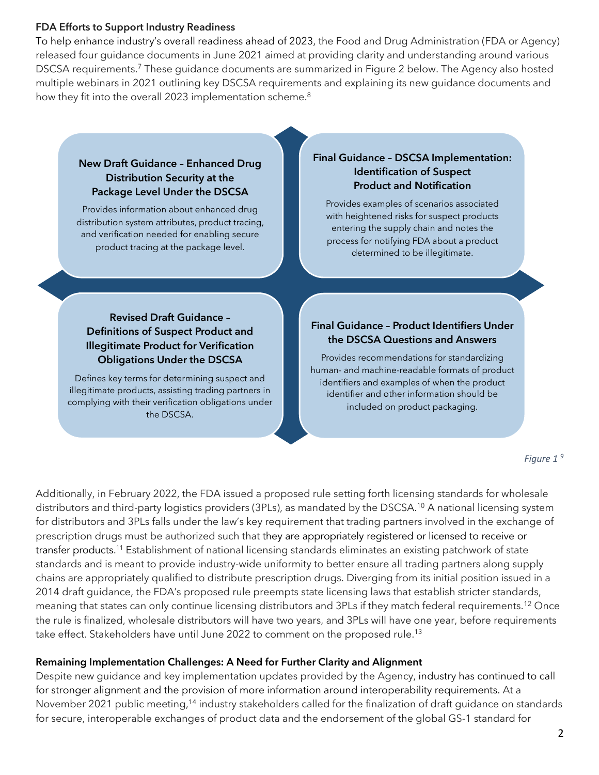#### **FDA Efforts to Support Industry Readiness**

To help enhance industry's overall readiness ahead of 2023, the Food and Drug Administration (FDA or Agency) released four guidance documents in June 2021 aimed at providing clarity and understanding around various DSCSA requirements.<sup>7</sup> These guidance documents are summarized in Figure 2 below. The Agency also hosted multiple webinars in 2021 outlining key DSCSA requirements and explaining its new guidance documents and how they fit into the overall 2023 implementation scheme. $^8$ 

#### **New Draft Guidance – Enhanced Drug Distribution Security at the Package Level Under the DSCSA**

Provides information about enhanced drug distribution system attributes, product tracing, and verification needed for enabling secure product tracing at the package level.

#### **Final Guidance – DSCSA Implementation: Identification of Suspect Product and Notification**

Provides examples of scenarios associated with heightened risks for suspect products entering the supply chain and notes the process for notifying FDA about a product determined to be illegitimate.

## **Revised Draft Guidance – Definitions of Suspect Product and Illegitimate Product for Verification Obligations Under the DSCSA**

Defines key terms for determining suspect and illegitimate products, assisting trading partners in complying with their verification obligations under the DSCSA.

## **Final Guidance – Product Identifiers Under the DSCSA Questions and Answers**

Provides recommendations for standardizing human- and machine-readable formats of product identifiers and examples of when the product identifier and other information should be included on product packaging.

*Figure 1 <sup>9</sup>*

Additionally, in February 2022, the FDA issued a proposed rule setting forth licensing standards for wholesale distributors and third-party logistics providers (3PLs), as mandated by the DSCSA.<sup>10</sup> A national licensing system for distributors and 3PLs falls under the law's key requirement that trading partners involved in the exchange of prescription drugs must be authorized such that they are appropriately registered or licensed to receive or transfer products. <sup>11</sup> Establishment of national licensing standards eliminates an existing patchwork of state standards and is meant to provide industry-wide uniformity to better ensure all trading partners along supply chains are appropriately qualified to distribute prescription drugs. Diverging from its initial position issued in a 2014 draft guidance, the FDA's proposed rule preempts state licensing laws that establish stricter standards, meaning that states can only continue licensing distributors and 3PLs if they match federal requirements.<sup>12</sup> Once the rule is finalized, wholesale distributors will have two years, and 3PLs will have one year, before requirements take effect. Stakeholders have until June 2022 to comment on the proposed rule.<sup>13</sup>

## **Remaining Implementation Challenges: A Need for Further Clarity and Alignment**

Despite new guidance and key implementation updates provided by the Agency, industry has continued to call for stronger alignment and the provision of more information around interoperability requirements. At a November 2021 public meeting,<sup>14</sup> industry stakeholders called for the finalization of draft quidance on standards for secure, interoperable exchanges of product data and the endorsement of the global GS-1 standard for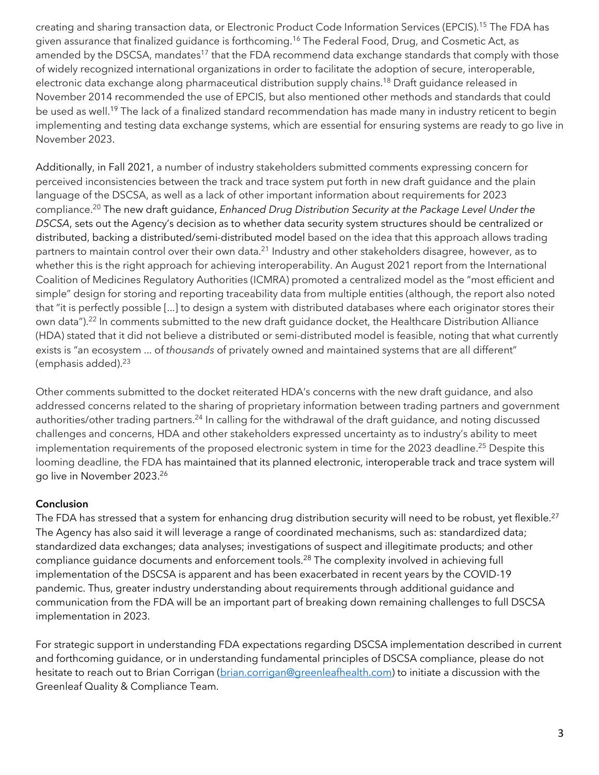creating and sharing transaction data, or Electronic Product Code Information Services (EPCIS). <sup>15</sup> The FDA has given assurance that finalized guidance is forthcoming. <sup>16</sup> The Federal Food, Drug, and Cosmetic Act, as amended by the DSCSA, mandates<sup>17</sup> that the FDA recommend data exchange standards that comply with those of widely recognized international organizations in order to facilitate the adoption of secure, interoperable, electronic data exchange along pharmaceutical distribution supply chains.<sup>18</sup> Draft guidance released in November 2014 recommended the use of EPCIS, but also mentioned other methods and standards that could be used as well. <sup>19</sup> The lack of a finalized standard recommendation has made many in industry reticent to begin implementing and testing data exchange systems, which are essential for ensuring systems are ready to go live in November 2023.

Additionally, in Fall 2021, a number of industry stakeholders submitted comments expressing concern for perceived inconsistencies between the track and trace system put forth in new draft guidance and the plain language of the DSCSA, as well as a lack of other important information about requirements for 2023 compliance. <sup>20</sup> The new draft guidance, *Enhanced Drug Distribution Security at the Package Level Under the DSCSA*, sets out the Agency's decision as to whether data security system structures should be centralized or distributed, backing a distributed/semi-distributed model based on the idea that this approach allows trading partners to maintain control over their own data.<sup>21</sup> Industry and other stakeholders disagree, however, as to whether this is the right approach for achieving interoperability. An August 2021 report from the International Coalition of Medicines Regulatory Authorities (ICMRA) promoted a centralized model as the "most efficient and simple" design for storing and reporting traceability data from multiple entities (although, the report also noted that "it is perfectly possible [...] to design a system with distributed databases where each originator stores their own data"). <sup>22</sup> In comments submitted to the new draft guidance docket, the Healthcare Distribution Alliance (HDA) stated that it did not believe a distributed or semi-distributed model is feasible, noting that what currently exists is "an ecosystem ... of *thousands* of privately owned and maintained systems that are all different" (emphasis added). $23$ 

Other comments submitted to the docket reiterated HDA's concerns with the new draft guidance, and also addressed concerns related to the sharing of proprietary information between trading partners and government authorities/other trading partners.<sup>24</sup> In calling for the withdrawal of the draft guidance, and noting discussed challenges and concerns, HDA and other stakeholders expressed uncertainty as to industry's ability to meet implementation requirements of the proposed electronic system in time for the 2023 deadline.<sup>25</sup> Despite this looming deadline, the FDA has maintained that its planned electronic, interoperable track and trace system will go live in November 2023. 26

### **Conclusion**

The FDA has stressed that a system for enhancing drug distribution security will need to be robust, yet flexible.<sup>27</sup> The Agency has also said it will leverage a range of coordinated mechanisms, such as: standardized data; standardized data exchanges; data analyses; investigations of suspect and illegitimate products; and other compliance guidance documents and enforcement tools.<sup>28</sup> The complexity involved in achieving full implementation of the DSCSA is apparent and has been exacerbated in recent years by the COVID-19 pandemic. Thus, greater industry understanding about requirements through additional guidance and communication from the FDA will be an important part of breaking down remaining challenges to full DSCSA implementation in 2023.

For strategic support in understanding FDA expectations regarding DSCSA implementation described in current and forthcoming guidance, or in understanding fundamental principles of DSCSA compliance, please do not hesitate to reach out to Brian Corrigan (brian.corrigan@greenleafhealth.com) to initiate a discussion with the Greenleaf Quality & Compliance Team.